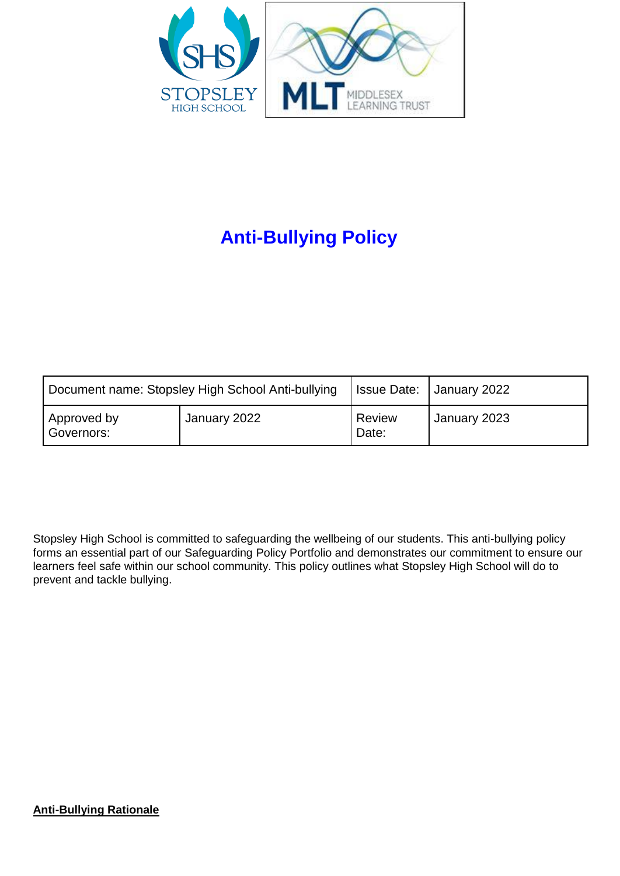

# **Anti-Bullying Policy**

| Document name: Stopsley High School Anti-bullying |              |                 | <b>Issue Date:   January 2022</b> |
|---------------------------------------------------|--------------|-----------------|-----------------------------------|
| Approved by<br>Governors:                         | January 2022 | Review<br>Date: | January 2023                      |

Stopsley High School is committed to safeguarding the wellbeing of our students. This anti-bullying policy forms an essential part of our Safeguarding Policy Portfolio and demonstrates our commitment to ensure our learners feel safe within our school community. This policy outlines what Stopsley High School will do to prevent and tackle bullying.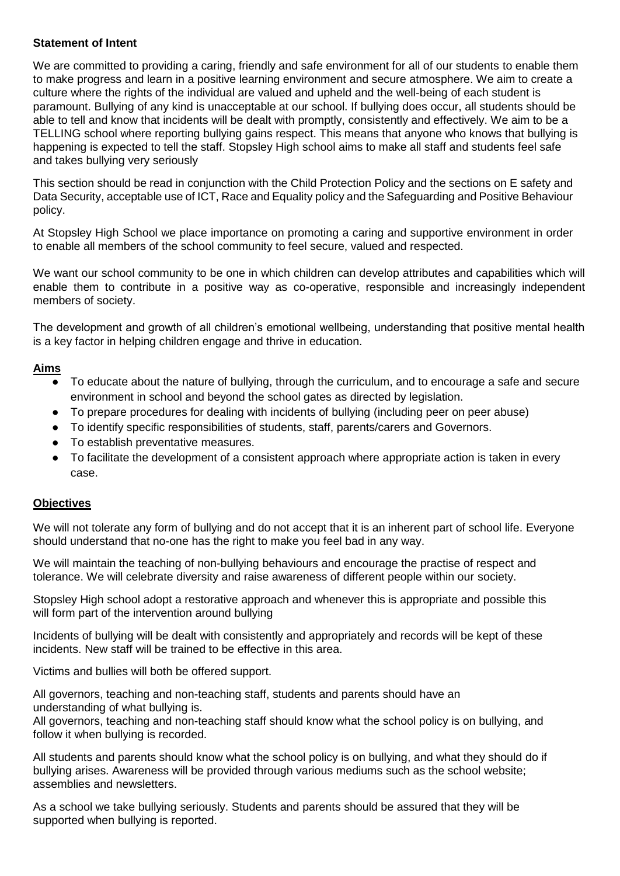### **Statement of Intent**

We are committed to providing a caring, friendly and safe environment for all of our students to enable them to make progress and learn in a positive learning environment and secure atmosphere. We aim to create a culture where the rights of the individual are valued and upheld and the well-being of each student is paramount. Bullying of any kind is unacceptable at our school. If bullying does occur, all students should be able to tell and know that incidents will be dealt with promptly, consistently and effectively. We aim to be a TELLING school where reporting bullying gains respect. This means that anyone who knows that bullying is happening is expected to tell the staff. Stopsley High school aims to make all staff and students feel safe and takes bullying very seriously

This section should be read in conjunction with the Child Protection Policy and the sections on E safety and Data Security, acceptable use of ICT, Race and Equality policy and the Safeguarding and Positive Behaviour policy.

At Stopsley High School we place importance on promoting a caring and supportive environment in order to enable all members of the school community to feel secure, valued and respected.

We want our school community to be one in which children can develop attributes and capabilities which will enable them to contribute in a positive way as co-operative, responsible and increasingly independent members of society.

The development and growth of all children's emotional wellbeing, understanding that positive mental health is a key factor in helping children engage and thrive in education.

### **Aims**

- To educate about the nature of bullying, through the curriculum, and to encourage a safe and secure environment in school and beyond the school gates as directed by legislation.
- To prepare procedures for dealing with incidents of bullying (including peer on peer abuse)
- To identify specific responsibilities of students, staff, parents/carers and Governors.
- To establish preventative measures.
- To facilitate the development of a consistent approach where appropriate action is taken in every case.

#### **Objectives**

We will not tolerate any form of bullying and do not accept that it is an inherent part of school life. Everyone should understand that no-one has the right to make you feel bad in any way.

We will maintain the teaching of non-bullying behaviours and encourage the practise of respect and tolerance. We will celebrate diversity and raise awareness of different people within our society.

Stopsley High school adopt a restorative approach and whenever this is appropriate and possible this will form part of the intervention around bullying

Incidents of bullying will be dealt with consistently and appropriately and records will be kept of these incidents. New staff will be trained to be effective in this area.

Victims and bullies will both be offered support.

All governors, teaching and non-teaching staff, students and parents should have an understanding of what bullying is.

All governors, teaching and non-teaching staff should know what the school policy is on bullying, and follow it when bullying is recorded.

All students and parents should know what the school policy is on bullying, and what they should do if bullying arises. Awareness will be provided through various mediums such as the school website; assemblies and newsletters.

As a school we take bullying seriously. Students and parents should be assured that they will be supported when bullying is reported.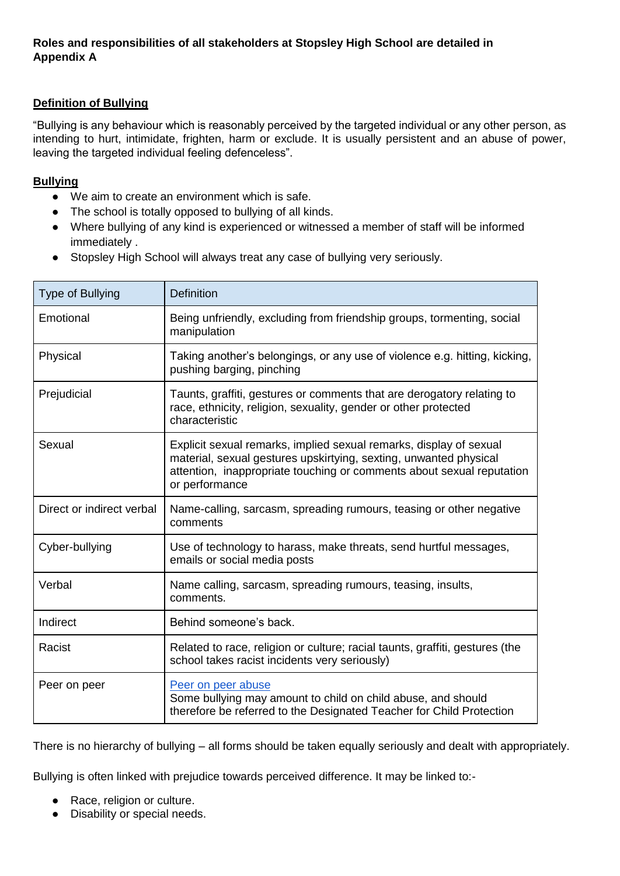### **Roles and responsibilities of all stakeholders at Stopsley High School are detailed in Appendix A**

# **Definition of Bullying**

"Bullying is any behaviour which is reasonably perceived by the targeted individual or any other person, as intending to hurt, intimidate, frighten, harm or exclude. It is usually persistent and an abuse of power, leaving the targeted individual feeling defenceless".

#### **Bullying**

- We aim to create an environment which is safe.
- The school is totally opposed to bullying of all kinds.
- Where bullying of any kind is experienced or witnessed a member of staff will be informed immediately .
- Stopsley High School will always treat any case of bullying very seriously.

| Type of Bullying          | <b>Definition</b>                                                                                                                                                                                                                  |  |
|---------------------------|------------------------------------------------------------------------------------------------------------------------------------------------------------------------------------------------------------------------------------|--|
| Emotional                 | Being unfriendly, excluding from friendship groups, tormenting, social<br>manipulation                                                                                                                                             |  |
| Physical                  | Taking another's belongings, or any use of violence e.g. hitting, kicking,<br>pushing barging, pinching                                                                                                                            |  |
| Prejudicial               | Taunts, graffiti, gestures or comments that are derogatory relating to<br>race, ethnicity, religion, sexuality, gender or other protected<br>characteristic                                                                        |  |
| Sexual                    | Explicit sexual remarks, implied sexual remarks, display of sexual<br>material, sexual gestures upskirtying, sexting, unwanted physical<br>attention, inappropriate touching or comments about sexual reputation<br>or performance |  |
| Direct or indirect verbal | Name-calling, sarcasm, spreading rumours, teasing or other negative<br>comments                                                                                                                                                    |  |
| Cyber-bullying            | Use of technology to harass, make threats, send hurtful messages,<br>emails or social media posts                                                                                                                                  |  |
| Verbal                    | Name calling, sarcasm, spreading rumours, teasing, insults,<br>comments.                                                                                                                                                           |  |
| Indirect                  | Behind someone's back.                                                                                                                                                                                                             |  |
| Racist                    | Related to race, religion or culture; racial taunts, graffiti, gestures (the<br>school takes racist incidents very seriously)                                                                                                      |  |
| Peer on peer              | Peer on peer abuse<br>Some bullying may amount to child on child abuse, and should<br>therefore be referred to the Designated Teacher for Child Protection                                                                         |  |

There is no hierarchy of bullying – all forms should be taken equally seriously and dealt with appropriately.

Bullying is often linked with prejudice towards perceived difference. It may be linked to:-

- Race, religion or culture.
- Disability or special needs.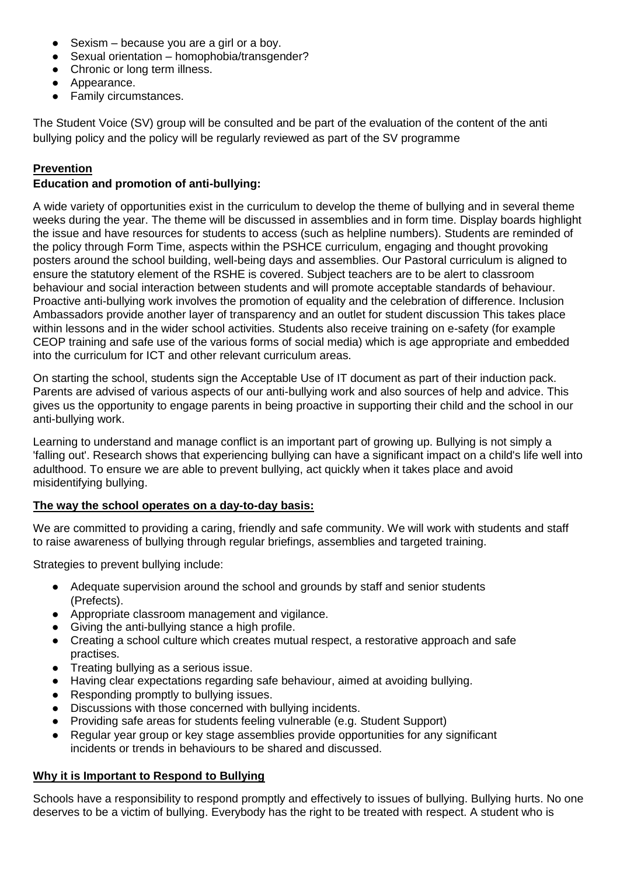- $\bullet$  Sexism because you are a girl or a boy.
- Sexual orientation homophobia/transgender?
- Chronic or long term illness.
- Appearance.
- Family circumstances.

The Student Voice (SV) group will be consulted and be part of the evaluation of the content of the anti bullying policy and the policy will be regularly reviewed as part of the SV programme

### **Prevention**

### **Education and promotion of anti-bullying:**

A wide variety of opportunities exist in the curriculum to develop the theme of bullying and in several theme weeks during the year. The theme will be discussed in assemblies and in form time. Display boards highlight the issue and have resources for students to access (such as helpline numbers). Students are reminded of the policy through Form Time, aspects within the PSHCE curriculum, engaging and thought provoking posters around the school building, well-being days and assemblies. Our Pastoral curriculum is aligned to ensure the statutory element of the RSHE is covered. Subject teachers are to be alert to classroom behaviour and social interaction between students and will promote acceptable standards of behaviour. Proactive anti-bullying work involves the promotion of equality and the celebration of difference. Inclusion Ambassadors provide another layer of transparency and an outlet for student discussion This takes place within lessons and in the wider school activities. Students also receive training on e-safety (for example CEOP training and safe use of the various forms of social media) which is age appropriate and embedded into the curriculum for ICT and other relevant curriculum areas.

On starting the school, students sign the Acceptable Use of IT document as part of their induction pack. Parents are advised of various aspects of our anti-bullying work and also sources of help and advice. This gives us the opportunity to engage parents in being proactive in supporting their child and the school in our anti-bullying work.

Learning to understand and manage conflict is an important part of growing up. Bullying is not simply a 'falling out'. Research shows that experiencing bullying can have a significant impact on a child's life well into adulthood. To ensure we are able to prevent bullying, act quickly when it takes place and avoid misidentifying bullying.

#### **The way the school operates on a day-to-day basis:**

We are committed to providing a caring, friendly and safe community. We will work with students and staff to raise awareness of bullying through regular briefings, assemblies and targeted training.

Strategies to prevent bullying include:

- Adequate supervision around the school and grounds by staff and senior students (Prefects).
- Appropriate classroom management and vigilance.
- Giving the anti-bullying stance a high profile.
- Creating a school culture which creates mutual respect, a restorative approach and safe practises.
- Treating bullying as a serious issue.
- Having clear expectations regarding safe behaviour, aimed at avoiding bullying.
- Responding promptly to bullying issues.
- Discussions with those concerned with bullying incidents.
- Providing safe areas for students feeling vulnerable (e.g. Student Support)
- Regular year group or key stage assemblies provide opportunities for any significant incidents or trends in behaviours to be shared and discussed.

#### **Why it is Important to Respond to Bullying**

Schools have a responsibility to respond promptly and effectively to issues of bullying. Bullying hurts. No one deserves to be a victim of bullying. Everybody has the right to be treated with respect. A student who is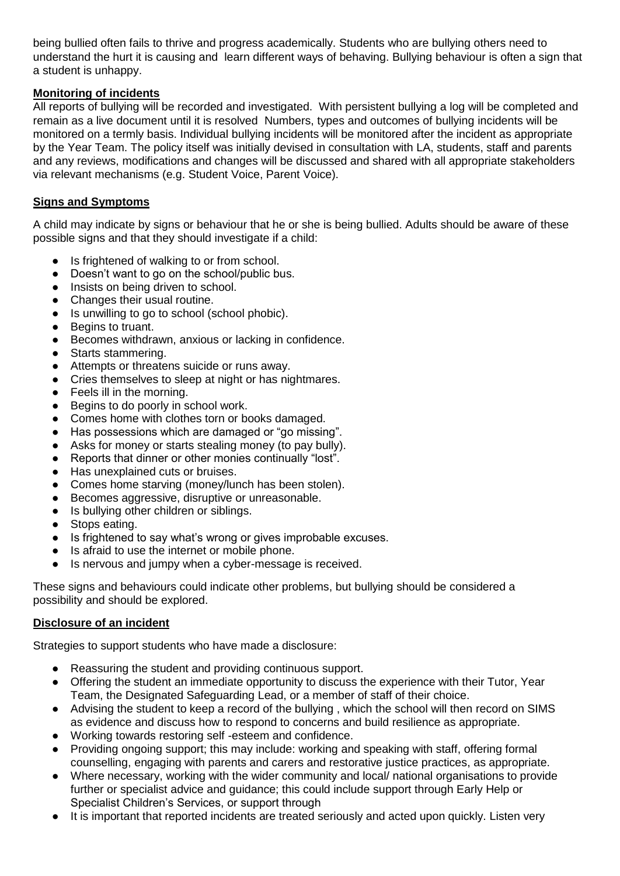being bullied often fails to thrive and progress academically. Students who are bullying others need to understand the hurt it is causing and learn different ways of behaving. Bullying behaviour is often a sign that a student is unhappy.

## **Monitoring of incidents**

All reports of bullying will be recorded and investigated. With persistent bullying a log will be completed and remain as a live document until it is resolved Numbers, types and outcomes of bullying incidents will be monitored on a termly basis. Individual bullying incidents will be monitored after the incident as appropriate by the Year Team. The policy itself was initially devised in consultation with LA, students, staff and parents and any reviews, modifications and changes will be discussed and shared with all appropriate stakeholders via relevant mechanisms (e.g. Student Voice, Parent Voice).

#### **Signs and Symptoms**

A child may indicate by signs or behaviour that he or she is being bullied. Adults should be aware of these possible signs and that they should investigate if a child:

- Is frightened of walking to or from school.
- Doesn't want to go on the school/public bus.
- Insists on being driven to school.
- Changes their usual routine.
- Is unwilling to go to school (school phobic).
- Begins to truant.
- Becomes withdrawn, anxious or lacking in confidence.
- Starts stammering.
- Attempts or threatens suicide or runs away.
- Cries themselves to sleep at night or has nightmares.
- Feels ill in the morning.
- Begins to do poorly in school work.
- Comes home with clothes torn or books damaged.
- Has possessions which are damaged or "go missing".
- Asks for money or starts stealing money (to pay bully).
- Reports that dinner or other monies continually "lost".
- Has unexplained cuts or bruises.
- Comes home starving (money/lunch has been stolen).
- Becomes aggressive, disruptive or unreasonable.
- Is bullying other children or siblings.
- Stops eating.
- Is frightened to say what's wrong or gives improbable excuses.
- Is afraid to use the internet or mobile phone.
- Is nervous and jumpy when a cyber-message is received.

These signs and behaviours could indicate other problems, but bullying should be considered a possibility and should be explored.

# **Disclosure of an incident**

Strategies to support students who have made a disclosure:

- Reassuring the student and providing continuous support.
- Offering the student an immediate opportunity to discuss the experience with their Tutor, Year Team, the Designated Safeguarding Lead, or a member of staff of their choice.
- Advising the student to keep a record of the bullying, which the school will then record on SIMS as evidence and discuss how to respond to concerns and build resilience as appropriate.
- Working towards restoring self -esteem and confidence.
- Providing ongoing support; this may include: working and speaking with staff, offering formal counselling, engaging with parents and carers and restorative justice practices, as appropriate.
- Where necessary, working with the wider community and local/ national organisations to provide further or specialist advice and guidance; this could include support through Early Help or Specialist Children's Services, or support through
- It is important that reported incidents are treated seriously and acted upon quickly. Listen very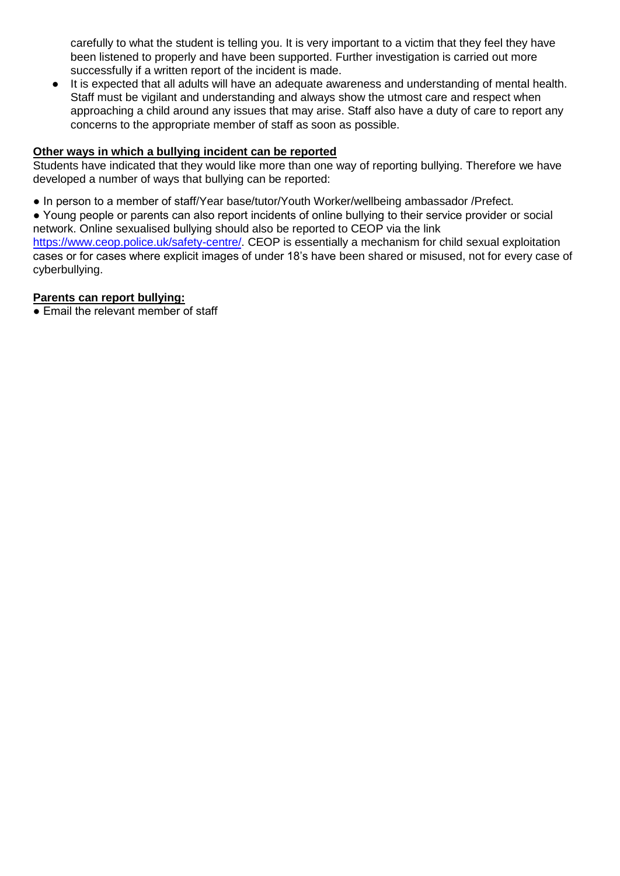carefully to what the student is telling you. It is very important to a victim that they feel they have been listened to properly and have been supported. Further investigation is carried out more successfully if a written report of the incident is made.

● It is expected that all adults will have an adequate awareness and understanding of mental health. Staff must be vigilant and understanding and always show the utmost care and respect when approaching a child around any issues that may arise. Staff also have a duty of care to report any concerns to the appropriate member of staff as soon as possible.

## **Other ways in which a bullying incident can be reported**

Students have indicated that they would like more than one way of reporting bullying. Therefore we have developed a number of ways that bullying can be reported:

● In person to a member of staff/Year base/tutor/Youth Worker/wellbeing ambassador /Prefect.

● Young people or parents can also report incidents of online bullying to their service provider or social network. Online sexualised bullying should also be reported to CEOP via the link https://www.ceop.police.uk/safety-centre/. CEOP is essentially a mechanism for child sexual exploitation cases or for cases where explicit images of under 18's have been shared or misused, not for every case of cyberbullying.

### **Parents can report bullying:**

• Email the relevant member of staff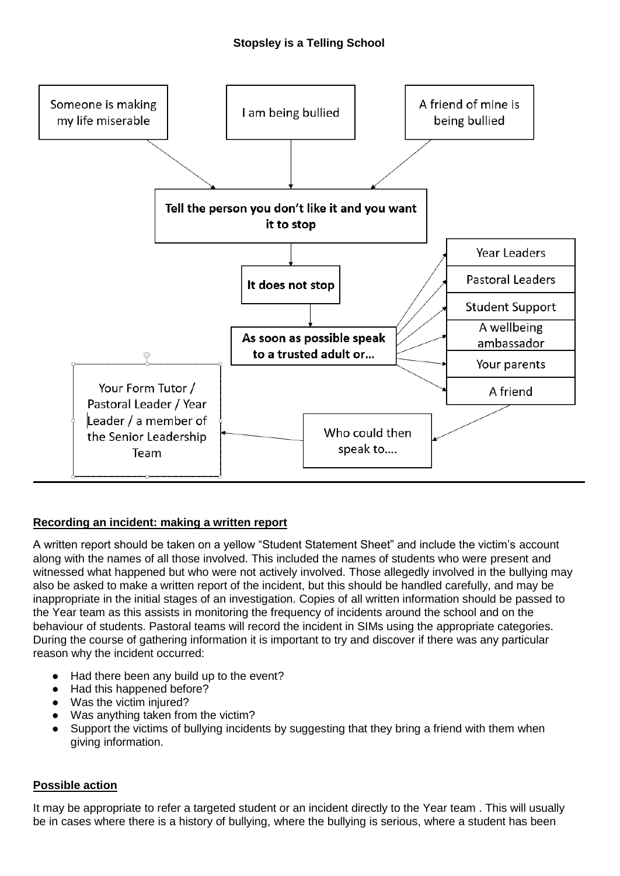# **Stopsley is a Telling School**



# **Recording an incident: making a written report**

A written report should be taken on a yellow "Student Statement Sheet" and include the victim's account along with the names of all those involved. This included the names of students who were present and witnessed what happened but who were not actively involved. Those allegedly involved in the bullying may also be asked to make a written report of the incident, but this should be handled carefully, and may be inappropriate in the initial stages of an investigation. Copies of all written information should be passed to the Year team as this assists in monitoring the frequency of incidents around the school and on the behaviour of students. Pastoral teams will record the incident in SIMs using the appropriate categories. During the course of gathering information it is important to try and discover if there was any particular reason why the incident occurred:

- Had there been any build up to the event?
- Had this happened before?
- Was the victim injured?
- Was anything taken from the victim?
- Support the victims of bullying incidents by suggesting that they bring a friend with them when giving information.

#### **Possible action**

It may be appropriate to refer a targeted student or an incident directly to the Year team . This will usually be in cases where there is a history of bullying, where the bullying is serious, where a student has been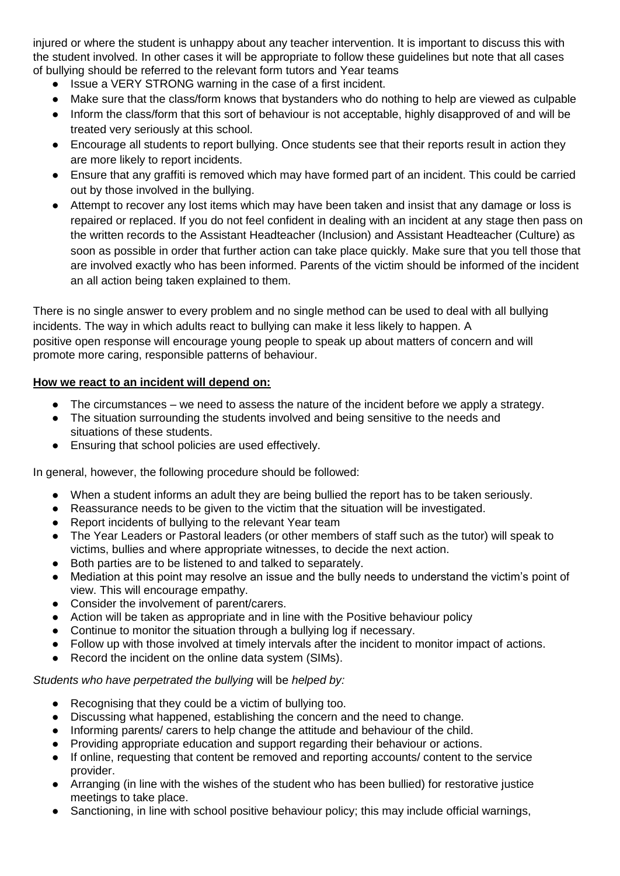injured or where the student is unhappy about any teacher intervention. It is important to discuss this with the student involved. In other cases it will be appropriate to follow these guidelines but note that all cases of bullying should be referred to the relevant form tutors and Year teams

- Issue a VERY STRONG warning in the case of a first incident.
- Make sure that the class/form knows that bystanders who do nothing to help are viewed as culpable
- Inform the class/form that this sort of behaviour is not acceptable, highly disapproved of and will be treated very seriously at this school.
- Encourage all students to report bullying. Once students see that their reports result in action they are more likely to report incidents.
- Ensure that any graffiti is removed which may have formed part of an incident. This could be carried out by those involved in the bullying.
- Attempt to recover any lost items which may have been taken and insist that any damage or loss is repaired or replaced. If you do not feel confident in dealing with an incident at any stage then pass on the written records to the Assistant Headteacher (Inclusion) and Assistant Headteacher (Culture) as soon as possible in order that further action can take place quickly. Make sure that you tell those that are involved exactly who has been informed. Parents of the victim should be informed of the incident an all action being taken explained to them.

There is no single answer to every problem and no single method can be used to deal with all bullying incidents. The way in which adults react to bullying can make it less likely to happen. A positive open response will encourage young people to speak up about matters of concern and will promote more caring, responsible patterns of behaviour.

### **How we react to an incident will depend on:**

- The circumstances we need to assess the nature of the incident before we apply a strategy.
- The situation surrounding the students involved and being sensitive to the needs and situations of these students.
- Ensuring that school policies are used effectively.

In general, however, the following procedure should be followed:

- When a student informs an adult they are being bullied the report has to be taken seriously.
- Reassurance needs to be given to the victim that the situation will be investigated.
- Report incidents of bullying to the relevant Year team
- The Year Leaders or Pastoral leaders (or other members of staff such as the tutor) will speak to victims, bullies and where appropriate witnesses, to decide the next action.
- Both parties are to be listened to and talked to separately.
- Mediation at this point may resolve an issue and the bully needs to understand the victim's point of view. This will encourage empathy.
- Consider the involvement of parent/carers.
- Action will be taken as appropriate and in line with the Positive behaviour policy
- Continue to monitor the situation through a bullying log if necessary.
- Follow up with those involved at timely intervals after the incident to monitor impact of actions.
- Record the incident on the online data system (SIMs).

#### *Students who have perpetrated the bullying* will be *helped by:*

- Recognising that they could be a victim of bullying too.
- Discussing what happened, establishing the concern and the need to change.
- Informing parents/ carers to help change the attitude and behaviour of the child.
- Providing appropriate education and support regarding their behaviour or actions.
- If online, requesting that content be removed and reporting accounts/ content to the service provider.
- Arranging (in line with the wishes of the student who has been bullied) for restorative justice meetings to take place.
- Sanctioning, in line with school positive behaviour policy; this may include official warnings,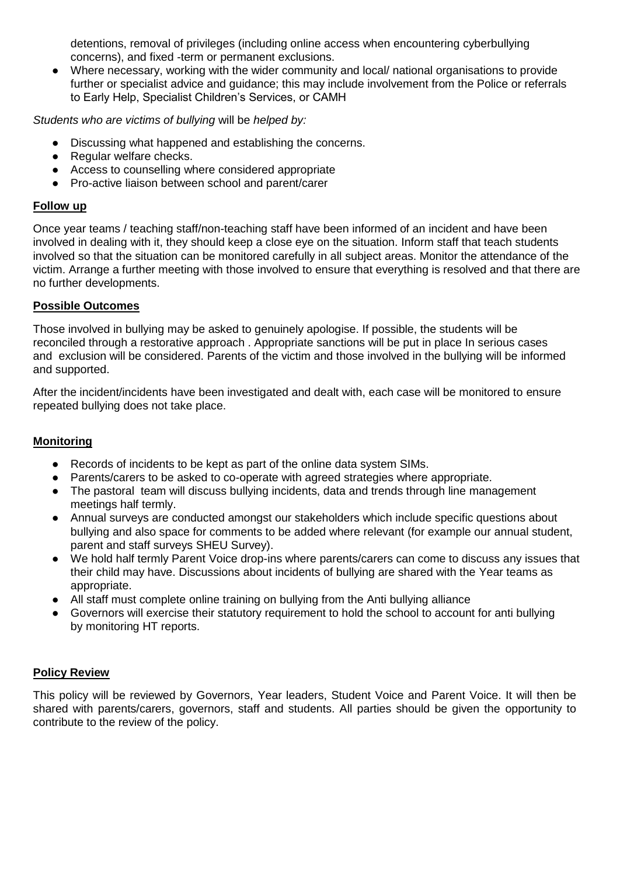detentions, removal of privileges (including online access when encountering cyberbullying concerns), and fixed -term or permanent exclusions.

● Where necessary, working with the wider community and local/ national organisations to provide further or specialist advice and guidance; this may include involvement from the Police or referrals to Early Help, Specialist Children's Services, or CAMH

*Students who are victims of bullying* will be *helped by:*

- Discussing what happened and establishing the concerns.
- Regular welfare checks.
- Access to counselling where considered appropriate
- Pro-active liaison between school and parent/carer

### **Follow up**

Once year teams / teaching staff/non-teaching staff have been informed of an incident and have been involved in dealing with it, they should keep a close eye on the situation. Inform staff that teach students involved so that the situation can be monitored carefully in all subject areas. Monitor the attendance of the victim. Arrange a further meeting with those involved to ensure that everything is resolved and that there are no further developments.

### **Possible Outcomes**

Those involved in bullying may be asked to genuinely apologise. If possible, the students will be reconciled through a restorative approach . Appropriate sanctions will be put in place In serious cases and exclusion will be considered. Parents of the victim and those involved in the bullying will be informed and supported.

After the incident/incidents have been investigated and dealt with, each case will be monitored to ensure repeated bullying does not take place.

# **Monitoring**

- Records of incidents to be kept as part of the online data system SIMs.
- Parents/carers to be asked to co-operate with agreed strategies where appropriate.
- The pastoral team will discuss bullying incidents, data and trends through line management meetings half termly.
- Annual surveys are conducted amongst our stakeholders which include specific questions about bullying and also space for comments to be added where relevant (for example our annual student, parent and staff surveys SHEU Survey).
- We hold half termly Parent Voice drop-ins where parents/carers can come to discuss any issues that their child may have. Discussions about incidents of bullying are shared with the Year teams as appropriate.
- All staff must complete online training on bullying from the Anti bullying alliance
- Governors will exercise their statutory requirement to hold the school to account for anti bullying by monitoring HT reports.

# **Policy Review**

This policy will be reviewed by Governors, Year leaders, Student Voice and Parent Voice. It will then be shared with parents/carers, governors, staff and students. All parties should be given the opportunity to contribute to the review of the policy.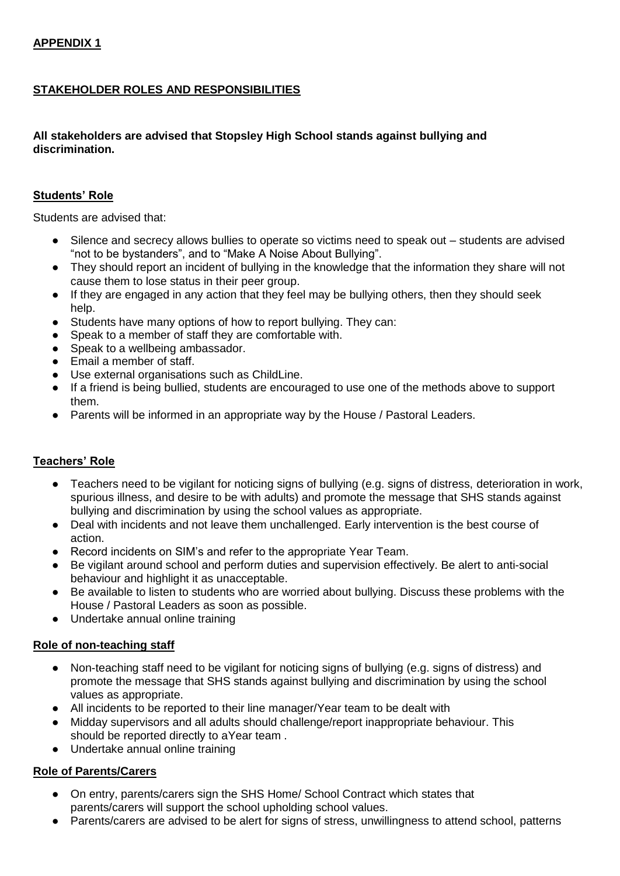# **STAKEHOLDER ROLES AND RESPONSIBILITIES**

# **All stakeholders are advised that Stopsley High School stands against bullying and discrimination.**

## **Students' Role**

Students are advised that:

- Silence and secrecy allows bullies to operate so victims need to speak out students are advised "not to be bystanders", and to "Make A Noise About Bullying".
- They should report an incident of bullying in the knowledge that the information they share will not cause them to lose status in their peer group.
- If they are engaged in any action that they feel may be bullying others, then they should seek help.
- Students have many options of how to report bullying. They can:
- Speak to a member of staff they are comfortable with.
- Speak to a wellbeing ambassador.
- Email a member of staff.
- Use external organisations such as ChildLine.
- If a friend is being bullied, students are encouraged to use one of the methods above to support them.
- Parents will be informed in an appropriate way by the House / Pastoral Leaders.

# **Teachers' Role**

- Teachers need to be vigilant for noticing signs of bullying (e.g. signs of distress, deterioration in work, spurious illness, and desire to be with adults) and promote the message that SHS stands against bullying and discrimination by using the school values as appropriate.
- Deal with incidents and not leave them unchallenged. Early intervention is the best course of action.
- Record incidents on SIM's and refer to the appropriate Year Team.
- Be vigilant around school and perform duties and supervision effectively. Be alert to anti-social behaviour and highlight it as unacceptable.
- Be available to listen to students who are worried about bullying. Discuss these problems with the House / Pastoral Leaders as soon as possible.
- Undertake annual online training

#### **Role of non-teaching staff**

- Non-teaching staff need to be vigilant for noticing signs of bullying (e.g. signs of distress) and promote the message that SHS stands against bullying and discrimination by using the school values as appropriate.
- All incidents to be reported to their line manager/Year team to be dealt with
- Midday supervisors and all adults should challenge/report inappropriate behaviour. This should be reported directly to aYear team .
- Undertake annual online training

# **Role of Parents/Carers**

- On entry, parents/carers sign the SHS Home/ School Contract which states that parents/carers will support the school upholding school values.
- Parents/carers are advised to be alert for signs of stress, unwillingness to attend school, patterns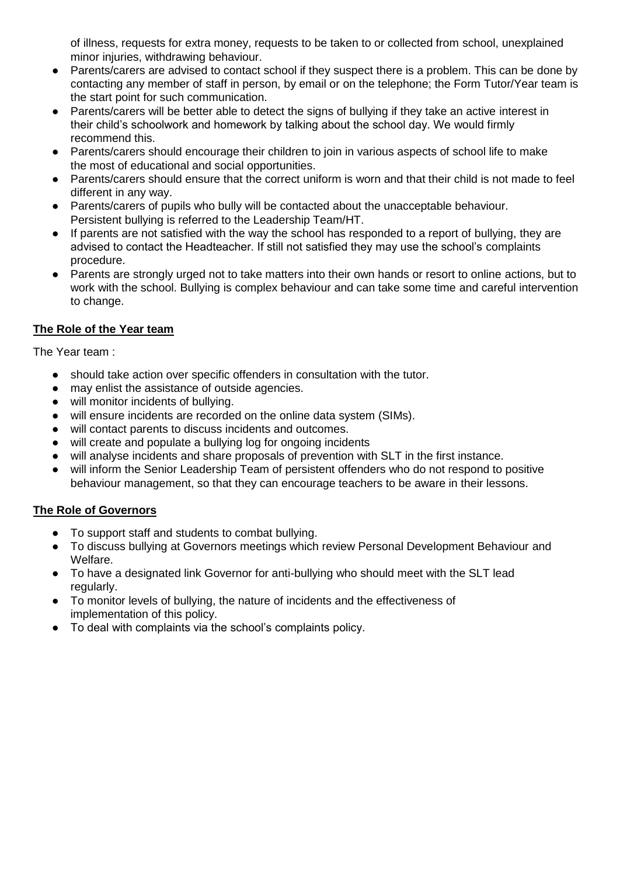of illness, requests for extra money, requests to be taken to or collected from school, unexplained minor injuries, withdrawing behaviour.

- Parents/carers are advised to contact school if they suspect there is a problem. This can be done by contacting any member of staff in person, by email or on the telephone; the Form Tutor/Year team is the start point for such communication.
- Parents/carers will be better able to detect the signs of bullying if they take an active interest in their child's schoolwork and homework by talking about the school day. We would firmly recommend this.
- Parents/carers should encourage their children to join in various aspects of school life to make the most of educational and social opportunities.
- Parents/carers should ensure that the correct uniform is worn and that their child is not made to feel different in any way.
- Parents/carers of pupils who bully will be contacted about the unacceptable behaviour. Persistent bullying is referred to the Leadership Team/HT.
- If parents are not satisfied with the way the school has responded to a report of bullying, they are advised to contact the Headteacher. If still not satisfied they may use the school's complaints procedure.
- Parents are strongly urged not to take matters into their own hands or resort to online actions, but to work with the school. Bullying is complex behaviour and can take some time and careful intervention to change.

# **The Role of the Year team**

The Year team :

- should take action over specific offenders in consultation with the tutor.
- may enlist the assistance of outside agencies.
- will monitor incidents of bullying.
- will ensure incidents are recorded on the online data system (SIMs).
- will contact parents to discuss incidents and outcomes.
- will create and populate a bullying log for ongoing incidents
- will analyse incidents and share proposals of prevention with SLT in the first instance.
- will inform the Senior Leadership Team of persistent offenders who do not respond to positive behaviour management, so that they can encourage teachers to be aware in their lessons.

# **The Role of Governors**

- To support staff and students to combat bullying.
- To discuss bullying at Governors meetings which review Personal Development Behaviour and Welfare.
- To have a designated link Governor for anti-bullying who should meet with the SLT lead regularly.
- To monitor levels of bullying, the nature of incidents and the effectiveness of implementation of this policy.
- To deal with complaints via the school's complaints policy.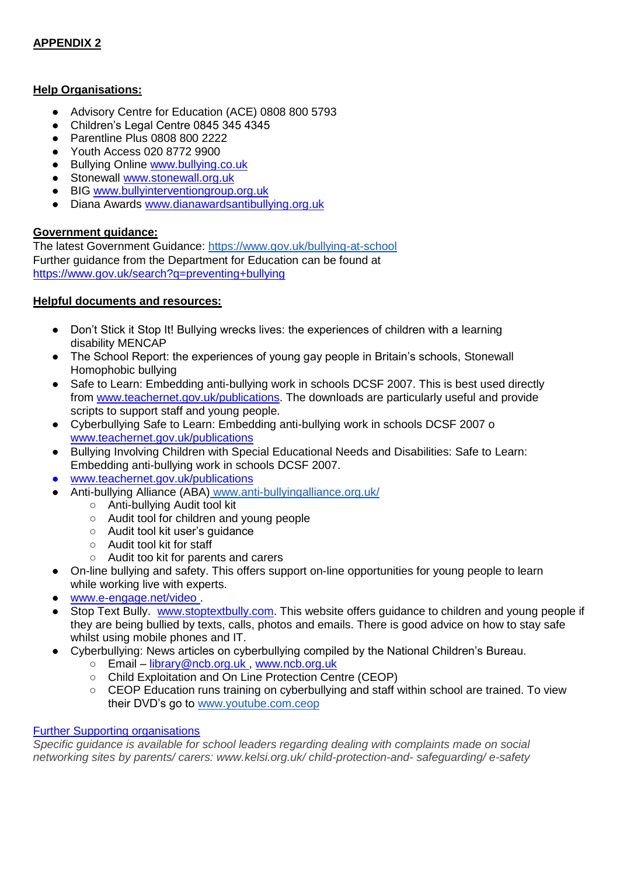# **APPENDIX 2**

#### **Help Organisations:**

- Advisory Centre for Education (ACE) 0808 800 5793
- Children's Legal Centre 0845 345 4345
- Parentline Plus 0808 800 2222
- Youth Access 020 8772 9900
- Bullying Online www.bullying.co.uk
- Stonewall www.stonewall.org.uk
- BIG www.bullyinterventiongroup.org.uk
- Diana Awards www.dianawardsantibullying.org.uk

### **Government guidance:**

The latest Government Guidance:<https://www.gov.uk/bullying-at-school> Further guidance from the Department for Education can be found at https://www.gov.uk/search?q=preventing+bullying

#### **Helpful documents and resources:**

- Don't Stick it Stop It! Bullying wrecks lives: the experiences of children with a learning disability MENCAP
- The School Report: the experiences of young gay people in Britain's schools, Stonewall Homophobic bullying
- Safe to Learn: Embedding anti-bullying work in schools DCSF 2007. This is best used directly from www.teachernet.gov.uk/publications. The downloads are particularly useful and provide scripts to support staff and young people.
- Cyberbullying Safe to Learn: Embedding anti-bullying work in schools DCSF 2007 o www.teachernet.gov.uk/publications
- Bullying Involving Children with Special Educational Needs and Disabilities: Safe to Learn: Embedding anti-bullying work in schools DCSF 2007.
- www.teachernet.gov.uk/publications
- Anti-bullying Alliance (ABA) www.anti-bullyingalliance.org.uk/
	- Anti-bullying Audit tool kit
	- Audit tool for children and young people
	- Audit tool kit user's quidance
	- Audit tool kit for staff
	- Audit too kit for parents and carers
- On-line bullying and safety. This offers support on-line opportunities for young people to learn while working live with experts.
- www.e-engage.net/video.
- Stop Text Bully. www.stoptextbully.com. This website offers guidance to children and young people if they are being bullied by texts, calls, photos and emails. There is good advice on how to stay safe whilst using mobile phones and IT.
- Cyberbullying: News articles on cyberbullying compiled by the National Children's Bureau.
	- Email library@ncb.org.uk , www.ncb.org.uk
	- Child Exploitation and On Line Protection Centre (CEOP)
	- CEOP Education runs training on cyberbullying and staff within school are trained. To view their DVD's go to [www.youtube.com.ceop](http://www.youtube.com.ceop/)

#### Further Supporting organisations

*Specific guidance is available for school leaders regarding dealing with complaints made on social networking sites by parents/ carers: www.kelsi.org.uk/ child-protection-and- safeguarding/ e-safety*